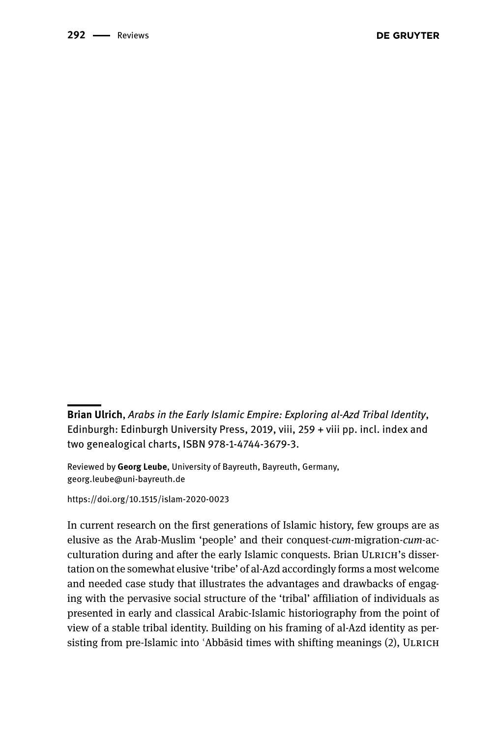**Brian Ulrich**, *Arabs in the Early Islamic Empire: Exploring al-Azd Tribal Identity*, Edinburgh: Edinburgh University Press, 2019, viii, 259 + viii pp. incl. index and two genealogical charts, ISBN 978-1-4744-3679-3.

Reviewed by **Georg Leube**, University of Bayreuth, Bayreuth, Germany, [georg.leube@uni-bayreuth.de](mailto:georg.leube@uni-bayreuth.de)

<https://doi.org/10.1515/islam-2020-0023>

In current research on the first generations of Islamic history, few groups are as elusive as the Arab-Muslim 'people' and their conquest-*cum*-migration-*cum*-acculturation during and after the early Islamic conquests. Brian ULRICH's dissertation on the somewhat elusive 'tribe' of al-Azd accordingly forms a most welcome and needed case study that illustrates the advantages and drawbacks of engaging with the pervasive social structure of the 'tribal' affiliation of individuals as presented in early and classical Arabic-Islamic historiography from the point of view of a stable tribal identity. Building on his framing of al-Azd identity as persisting from pre-Islamic into 'Abbāsid times with shifting meanings (2), ULRICH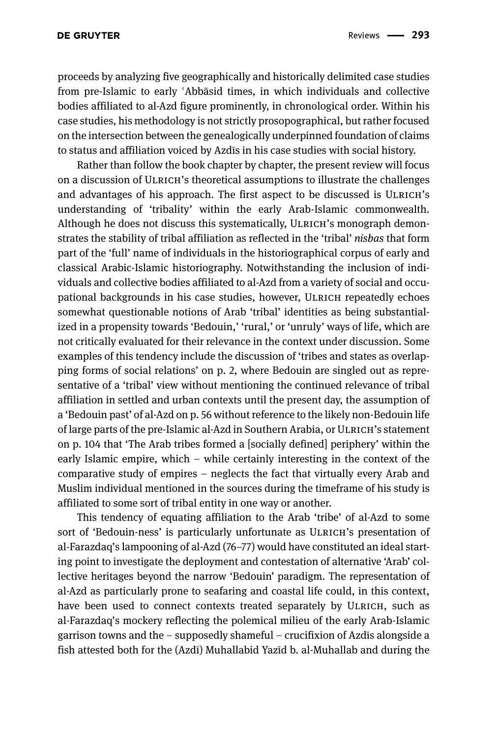proceeds by analyzing five geographically and historically delimited case studies from pre-Islamic to early ʿAbbāsid times, in which individuals and collective bodies affiliated to al-Azd figure prominently, in chronological order. Within his case studies, his methodology is not strictly prosopographical, but rather focused on the intersection between the genealogically underpinned foundation of claims to status and affiliation voiced by Azdīs in his case studies with social history.

Rather than follow the book chapter by chapter, the present review will focus on a discussion of ULRICH's theoretical assumptions to illustrate the challenges and advantages of his approach. The first aspect to be discussed is ULRICH's understanding of 'tribality' within the early Arab-Islamic commonwealth. Although he does not discuss this systematically, ULRICH's monograph demonstrates the stability of tribal affiliation as reflected in the 'tribal' *nisbas* that form part of the 'full' name of individuals in the historiographical corpus of early and classical Arabic-Islamic historiography. Notwithstanding the inclusion of individuals and collective bodies affiliated to al-Azd from a variety of social and occupational backgrounds in his case studies, however, ULRICH repeatedly echoes somewhat questionable notions of Arab 'tribal' identities as being substantialized in a propensity towards 'Bedouin,' 'rural,' or 'unruly' ways of life, which are not critically evaluated for their relevance in the context under discussion. Some examples of this tendency include the discussion of 'tribes and states as overlapping forms of social relations' on p. 2, where Bedouin are singled out as representative of a 'tribal' view without mentioning the continued relevance of tribal affiliation in settled and urban contexts until the present day, the assumption of a 'Bedouin past' of al-Azd on p. 56 without reference to the likely non-Bedouin life of large parts of the pre-Islamic al-Azd in Southern Arabia, or ULRICH's statement on p. 104 that 'The Arab tribes formed a [socially defined] periphery' within the early Islamic empire, which - while certainly interesting in the context of the comparative study of empires – neglects the fact that virtually every Arab and Muslim individual mentioned in the sources during the timeframe of his study is affiliated to some sort of tribal entity in one way or another.

This tendency of equating affiliation to the Arab 'tribe' of al-Azd to some sort of 'Bedouin-ness' is particularly unfortunate as ULRICH's presentation of al-Farazdaq's lampooning of al-Azd (76–77) would have constituted an ideal starting point to investigate the deployment and contestation of alternative 'Arab' collective heritages beyond the narrow 'Bedouin' paradigm. The representation of al-Azd as particularly prone to seafaring and coastal life could, in this context, have been used to connect contexts treated separately by ULRICH, such as al-Farazdaq's mockery reflecting the polemical milieu of the early Arab-Islamic garrison towns and the – supposedly shameful – crucifixion of Azdīs alongside a fish attested both for the (Azdī) Muhallabid Yazīd b. al-Muhallab and during the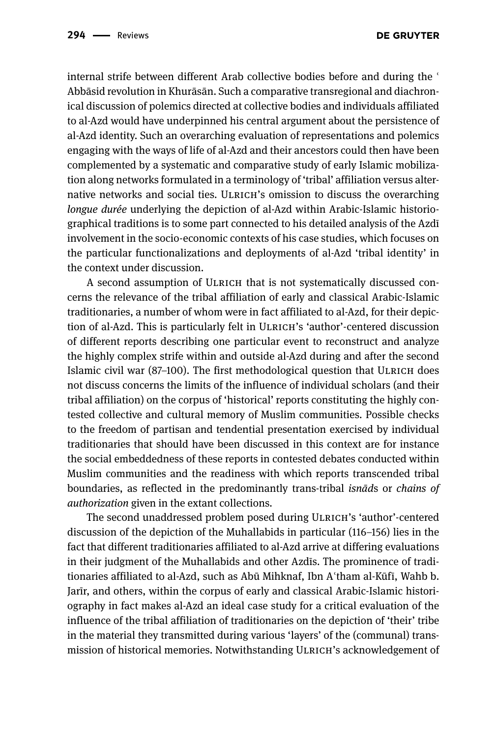internal strife between different Arab collective bodies before and during the ' Abbāsid revolution in Khurāsān. Such a comparative transregional and diachronical discussion of polemics directed at collective bodies and individuals affiliated to al-Azd would have underpinned his central argument about the persistence of al-Azd identity. Such an overarching evaluation of representations and polemics engaging with the ways of life of al-Azd and their ancestors could then have been complemented by a systematic and comparative study of early Islamic mobilization along networks formulated in a terminology of 'tribal' affiliation versus alternative networks and social ties. Ulrich's omission to discuss the overarching *longue durée* underlying the depiction of al-Azd within Arabic-Islamic historiographical traditions is to some part connected to his detailed analysis of the Azdī involvement in the socio-economic contexts of his case studies, which focuses on the particular functionalizations and deployments of al-Azd 'tribal identity' in the context under discussion.

A second assumption of Ulrich that is not systematically discussed concerns the relevance of the tribal affiliation of early and classical Arabic-Islamic traditionaries, a number of whom were in fact affiliated to al-Azd, for their depiction of al-Azd. This is particularly felt in ULRICH's 'author'-centered discussion of different reports describing one particular event to reconstruct and analyze the highly complex strife within and outside al-Azd during and after the second Islamic civil war (87–100). The first methodological question that ULRICH does not discuss concerns the limits of the influence of individual scholars (and their tribal affiliation) on the corpus of 'historical' reports constituting the highly contested collective and cultural memory of Muslim communities. Possible checks to the freedom of partisan and tendential presentation exercised by individual traditionaries that should have been discussed in this context are for instance the social embeddedness of these reports in contested debates conducted within Muslim communities and the readiness with which reports transcended tribal boundaries, as reflected in the predominantly trans-tribal *isnād*s or *chains of authorization* given in the extant collections.

The second unaddressed problem posed during Ulrich's 'author'-centered discussion of the depiction of the Muhallabids in particular (116–156) lies in the fact that different traditionaries affiliated to al-Azd arrive at differing evaluations in their judgment of the Muhallabids and other Azdīs. The prominence of traditionaries affiliated to al-Azd, such as Abū Mihknaf, Ibn Aʿtham al-Kūfī, Wahb b. Jarīr, and others, within the corpus of early and classical Arabic-Islamic historiography in fact makes al-Azd an ideal case study for a critical evaluation of the influence of the tribal affiliation of traditionaries on the depiction of 'their' tribe in the material they transmitted during various 'layers' of the (communal) transmission of historical memories. Notwithstanding ULRICH's acknowledgement of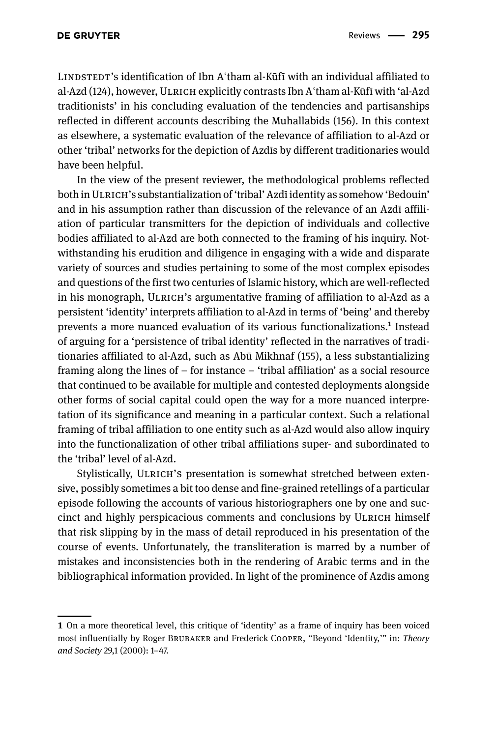Lindstedt's identification of Ibn Aʿtham al-Kūfī with an individual affiliated to al-Azd (124), however, ULRICH explicitly contrasts Ibn A'tham al-Kūfī with 'al-Azd traditionists' in his concluding evaluation of the tendencies and partisanships reflected in different accounts describing the Muhallabids (156). In this context as elsewhere, a systematic evaluation of the relevance of affiliation to al-Azd or other 'tribal' networks for the depiction of Azdīs by different traditionaries would have been helpful.

In the view of the present reviewer, the methodological problems reflected both in ULRICH's substantialization of 'tribal' Azdī identity as somehow 'Bedouin' and in his assumption rather than discussion of the relevance of an Azdī affiliation of particular transmitters for the depiction of individuals and collective bodies affiliated to al-Azd are both connected to the framing of his inquiry. Notwithstanding his erudition and diligence in engaging with a wide and disparate variety of sources and studies pertaining to some of the most complex episodes and questions of the first two centuries of Islamic history, which are well-reflected in his monograph, ULRICH's argumentative framing of affiliation to al-Azd as a persistent 'identity' interprets affiliation to al-Azd in terms of 'being' and thereby prevents a more nuanced evaluation of its various functionalizations.1 Instead of arguing for a 'persistence of tribal identity' reflected in the narratives of traditionaries affiliated to al-Azd, such as Abū Mikhnaf (155), a less substantializing framing along the lines of  $-$  for instance  $-$  'tribal affiliation' as a social resource that continued to be available for multiple and contested deployments alongside other forms of social capital could open the way for a more nuanced interpretation of its significance and meaning in a particular context. Such a relational framing of tribal affiliation to one entity such as al-Azd would also allow inquiry into the functionalization of other tribal affiliations super- and subordinated to the 'tribal' level of al-Azd.

Stylistically, ULRICH's presentation is somewhat stretched between extensive, possibly sometimes a bit too dense and fine-grained retellings of a particular episode following the accounts of various historiographers one by one and succinct and highly perspicacious comments and conclusions by Ulrich himself that risk slipping by in the mass of detail reproduced in his presentation of the course of events. Unfortunately, the transliteration is marred by a number of mistakes and inconsistencies both in the rendering of Arabic terms and in the bibliographical information provided. In light of the prominence of Azdīs among

**<sup>1</sup>** On a more theoretical level, this critique of 'identity' as a frame of inquiry has been voiced most influentially by Roger Brubaker and Frederick Cooper, "Beyond 'Identity,'" in: *Theory and Society* 29,1 (2000): 1‒47.